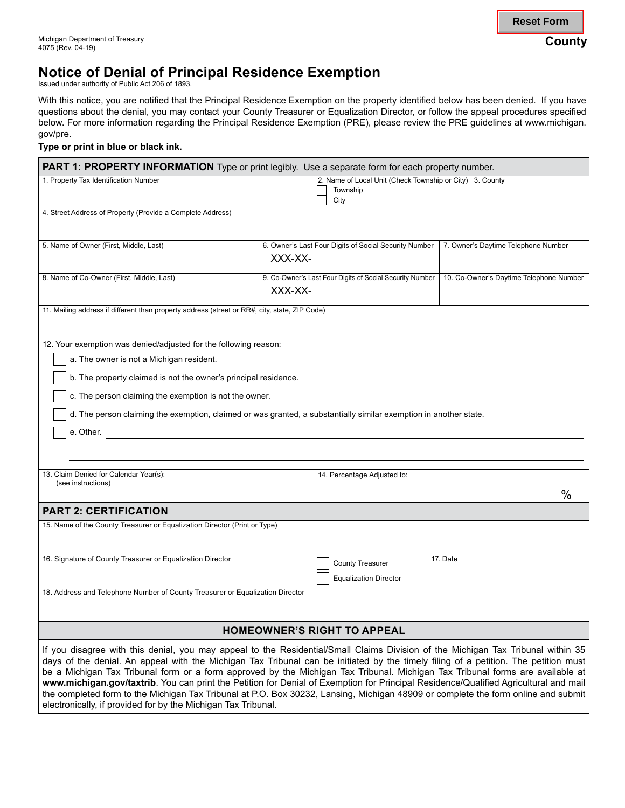# **Notice of Denial of Principal Residence Exemption**

Issued under authority of Public Act 206 of 1893.

With this notice, you are notified that the Principal Residence Exemption on the property identified below has been denied. If you have questions about the denial, you may contact your County Treasurer or Equalization Director, or follow the appeal procedures specified below. For more information regarding the Principal Residence Exemption (PRE), please review the PRE guidelines at <www.michigan>. gov/pre.

#### **Type or print in blue or black ink.**

| <b>PART 1: PROPERTY INFORMATION</b> Type or print legibly. Use a separate form for each property number.                                                                                                                                                                                                                                                                                                                                                                                                                                         |         |                                                                              |                                     |                                         |
|--------------------------------------------------------------------------------------------------------------------------------------------------------------------------------------------------------------------------------------------------------------------------------------------------------------------------------------------------------------------------------------------------------------------------------------------------------------------------------------------------------------------------------------------------|---------|------------------------------------------------------------------------------|-------------------------------------|-----------------------------------------|
| 1. Property Tax Identification Number                                                                                                                                                                                                                                                                                                                                                                                                                                                                                                            |         | 2. Name of Local Unit (Check Township or City) 3. County<br>Township<br>City |                                     |                                         |
| 4. Street Address of Property (Provide a Complete Address)                                                                                                                                                                                                                                                                                                                                                                                                                                                                                       |         |                                                                              |                                     |                                         |
| 5. Name of Owner (First, Middle, Last)                                                                                                                                                                                                                                                                                                                                                                                                                                                                                                           | XXX-XX- | 6. Owner's Last Four Digits of Social Security Number                        | 7. Owner's Daytime Telephone Number |                                         |
| 8. Name of Co-Owner (First, Middle, Last)                                                                                                                                                                                                                                                                                                                                                                                                                                                                                                        | XXX-XX- | 9. Co-Owner's Last Four Digits of Social Security Number                     |                                     | 10. Co-Owner's Daytime Telephone Number |
| 11. Mailing address if different than property address (street or RR#, city, state, ZIP Code)                                                                                                                                                                                                                                                                                                                                                                                                                                                    |         |                                                                              |                                     |                                         |
| 12. Your exemption was denied/adjusted for the following reason:<br>a. The owner is not a Michigan resident.                                                                                                                                                                                                                                                                                                                                                                                                                                     |         |                                                                              |                                     |                                         |
| b. The property claimed is not the owner's principal residence.<br>c. The person claiming the exemption is not the owner.                                                                                                                                                                                                                                                                                                                                                                                                                        |         |                                                                              |                                     |                                         |
| d. The person claiming the exemption, claimed or was granted, a substantially similar exemption in another state.                                                                                                                                                                                                                                                                                                                                                                                                                                |         |                                                                              |                                     |                                         |
| e. Other.                                                                                                                                                                                                                                                                                                                                                                                                                                                                                                                                        |         |                                                                              |                                     |                                         |
|                                                                                                                                                                                                                                                                                                                                                                                                                                                                                                                                                  |         |                                                                              |                                     |                                         |
| 13. Claim Denied for Calendar Year(s):<br>(see instructions)                                                                                                                                                                                                                                                                                                                                                                                                                                                                                     |         | 14. Percentage Adjusted to:                                                  |                                     | $\%$                                    |
| <b>PART 2: CERTIFICATION</b>                                                                                                                                                                                                                                                                                                                                                                                                                                                                                                                     |         |                                                                              |                                     |                                         |
| 15. Name of the County Treasurer or Equalization Director (Print or Type)                                                                                                                                                                                                                                                                                                                                                                                                                                                                        |         |                                                                              |                                     |                                         |
| 16. Signature of County Treasurer or Equalization Director                                                                                                                                                                                                                                                                                                                                                                                                                                                                                       |         | <b>County Treasurer</b><br><b>Equalization Director</b>                      | 17. Date                            |                                         |
| 18. Address and Telephone Number of County Treasurer or Equalization Director                                                                                                                                                                                                                                                                                                                                                                                                                                                                    |         |                                                                              |                                     |                                         |
| <b>HOMEOWNER'S RIGHT TO APPEAL</b>                                                                                                                                                                                                                                                                                                                                                                                                                                                                                                               |         |                                                                              |                                     |                                         |
| If you disagree with this denial, you may appeal to the Residential/Small Claims Division of the Michigan Tax Tribunal within 35<br>days of the denial. An appeal with the Michigan Tax Tribunal can be initiated by the timely filing of a petition. The petition must<br>be a Michigan Tax Tribunal form or a form approved by the Michigan Tax Tribunal. Michigan Tax Tribunal forms are available at<br>www.michigan.gov/taxtrib. You can print the Petition for Denial of Exemption for Principal Residence/Qualified Agricultural and mail |         |                                                                              |                                     |                                         |

the completed form to the Michigan Tax Tribunal at P.O. Box 30232, Lansing, Michigan 48909 or complete the form online and submit

electronically, if provided for by the Michigan Tax Tribunal.